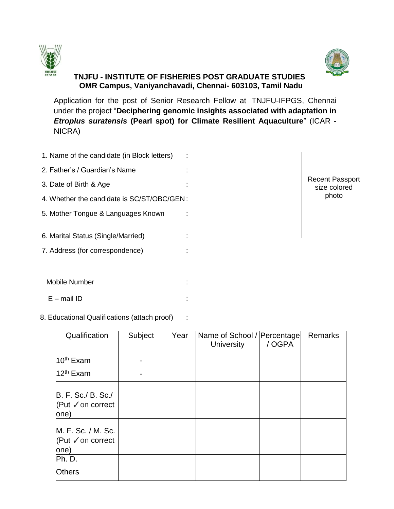



# **TNJFU - INSTITUTE OF FISHERIES POST GRADUATE STUDIES OMR Campus, Vaniyanchavadi, Chennai- 603103, Tamil Nadu**

Application for the post of Senior Research Fellow at TNJFU-IFPGS, Chennai under the project "**Deciphering genomic insights associated with adaptation in**  *Etroplus suratensis* **(Pearl spot) for Climate Resilient Aquaculture**" (ICAR - NICRA)

- 1. Name of the candidate (in Block letters) :
- 2. Father's / Guardian's Name :
- 3. Date of Birth & Age :
- 4. Whether the candidate is SC/ST/OBC/GEN :
- 5. Mother Tongue & Languages Known :

6. Marital Status (Single/Married) :

7. Address (for correspondence) :

Recent Passport size colored photo

- Mobile Number :
- $E$  mail ID  $\qquad \qquad$  :

## 8. Educational Qualifications (attach proof) :

| Qualification                                                  | Subject | Year | Name of School /   Percentage <br><b>University</b> | /OGPA | <b>Remarks</b> |
|----------------------------------------------------------------|---------|------|-----------------------------------------------------|-------|----------------|
| 10 <sup>th</sup> Exam                                          |         |      |                                                     |       |                |
| 12 <sup>th</sup> Exam                                          |         |      |                                                     |       |                |
| B. F. Sc./ B. Sc./<br>KPut √ on correct<br>one)                |         |      |                                                     |       |                |
| M. F. Sc. / M. Sc.<br>$ $ (Put $\checkmark$ on correct<br>one) |         |      |                                                     |       |                |
| Ph. D.                                                         |         |      |                                                     |       |                |
| <b>Others</b>                                                  |         |      |                                                     |       |                |